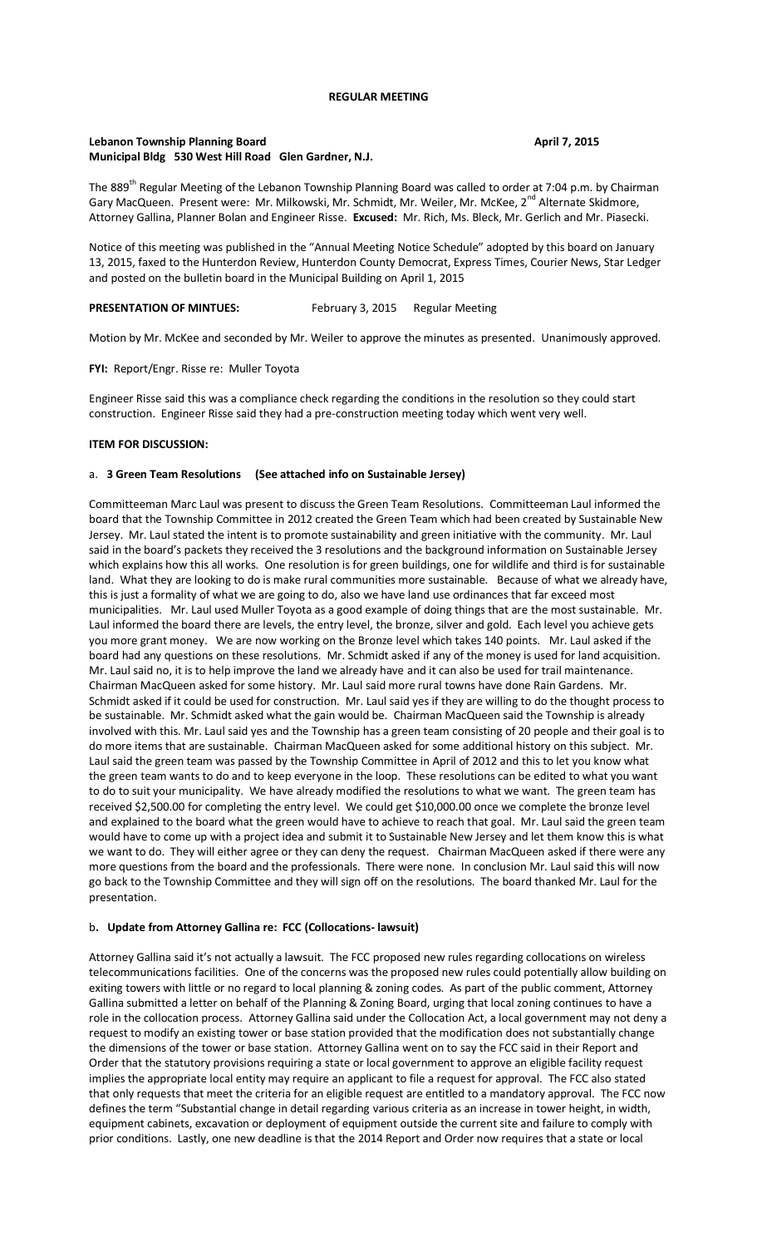# **Lebanon Township Planning Board April 7, 2015 Municipal Bldg 530 West Hill Road Glen Gardner, N.J.**

The 889<sup>th</sup> Regular Meeting of the Lebanon Township Planning Board was called to order at 7:04 p.m. by Chairman Gary MacQueen. Present were: Mr. Milkowski, Mr. Schmidt, Mr. Weiler, Mr. McKee, 2<sup>nd</sup> Alternate Skidmore, Attorney Gallina, Planner Bolan and Engineer Risse. **Excused:** Mr. Rich, Ms. Bleck, Mr. Gerlich and Mr. Piasecki.

Notice of this meeting was published in the "Annual Meeting Notice Schedule" adopted by this board on January 13, 2015, faxed to the Hunterdon Review, Hunterdon County Democrat, Express Times, Courier News, Star Ledger and posted on the bulletin board in the Municipal Building on April 1, 2015

# **PRESENTATION OF MINTUES:** February 3, 2015Regular Meeting

Motion by Mr. McKee and seconded by Mr. Weiler to approve the minutes as presented. Unanimously approved.

#### **FYI:** Report/Engr. Risse re: Muller Toyota

Engineer Risse said this was a compliance check regarding the conditions in the resolution so they could start construction. Engineer Risse said they had a pre-construction meeting today which went very well.

### **ITEM FOR DISCUSSION:**

### a. **3 Green Team Resolutions (See attached info on Sustainable Jersey)**

Committeeman Marc Laul was present to discuss the Green Team Resolutions. Committeeman Laul informed the board that the Township Committee in 2012 created the Green Team which had been created by Sustainable New Jersey. Mr. Laul stated the intent is to promote sustainability and green initiative with the community. Mr. Laul said in the board's packets they received the 3 resolutions and the background information on Sustainable Jersey which explains how this all works. One resolution is for green buildings, one for wildlife and third is for sustainable land. What they are looking to do is make rural communities more sustainable. Because of what we already have, this is just a formality of what we are going to do, also we have land use ordinances that far exceed most municipalities. Mr. Laul used Muller Toyota as a good example of doing things that are the most sustainable. Mr. Laul informed the board there are levels, the entry level, the bronze, silver and gold. Each level you achieve gets you more grant money. We are now working on the Bronze level which takes 140 points. Mr. Laul asked if the board had any questions on these resolutions. Mr. Schmidt asked if any of the money is used for land acquisition. Mr. Laul said no, it is to help improve the land we already have and it can also be used for trail maintenance. Chairman MacQueen asked for some history. Mr. Laul said more rural towns have done Rain Gardens. Mr. Schmidt asked if it could be used for construction. Mr. Laul said yes if they are willing to do the thought process to be sustainable. Mr. Schmidt asked what the gain would be. Chairman MacQueen said the Township is already involved with this. Mr. Laul said yes and the Township has a green team consisting of 20 people and their goal is to do more items that are sustainable. Chairman MacQueen asked for some additional history on this subject. Mr. Laul said the green team was passed by the Township Committee in April of 2012 and this to let you know what the green team wants to do and to keep everyone in the loop. These resolutions can be edited to what you want to do to suit your municipality. We have already modified the resolutions to what we want. The green team has received \$2,500.00 for completing the entry level. We could get \$10,000.00 once we complete the bronze level and explained to the board what the green would have to achieve to reach that goal. Mr. Laul said the green team would have to come up with a project idea and submit it to Sustainable New Jersey and let them know this is what we want to do. They will either agree or they can deny the request. Chairman MacQueen asked if there were any more questions from the board and the professionals. There were none. In conclusion Mr. Laul said this will now go back to the Township Committee and they will sign off on the resolutions. The board thanked Mr. Laul for the presentation.

## b**. Update from Attorney Gallina re: FCC (Collocations- lawsuit)**

Attorney Gallina said it's not actually a lawsuit. The FCC proposed new rules regarding collocations on wireless telecommunications facilities. One of the concerns was the proposed new rules could potentially allow building on exiting towers with little or no regard to local planning & zoning codes. As part of the public comment, Attorney Gallina submitted a letter on behalf of the Planning & Zoning Board, urging that local zoning continues to have a role in the collocation process. Attorney Gallina said under the Collocation Act, a local government may not deny a request to modify an existing tower or base station provided that the modification does not substantially change the dimensions of the tower or base station. Attorney Gallina went on to say the FCC said in their Report and Order that the statutory provisions requiring a state or local government to approve an eligible facility request implies the appropriate local entity may require an applicant to file a request for approval. The FCC also stated that only requests that meet the criteria for an eligible request are entitled to a mandatory approval. The FCC now defines the term "Substantial change in detail regarding various criteria as an increase in tower height, in width, equipment cabinets, excavation or deployment of equipment outside the current site and failure to comply with prior conditions. Lastly, one new deadline is that the 2014 Report and Order now requires that a state or local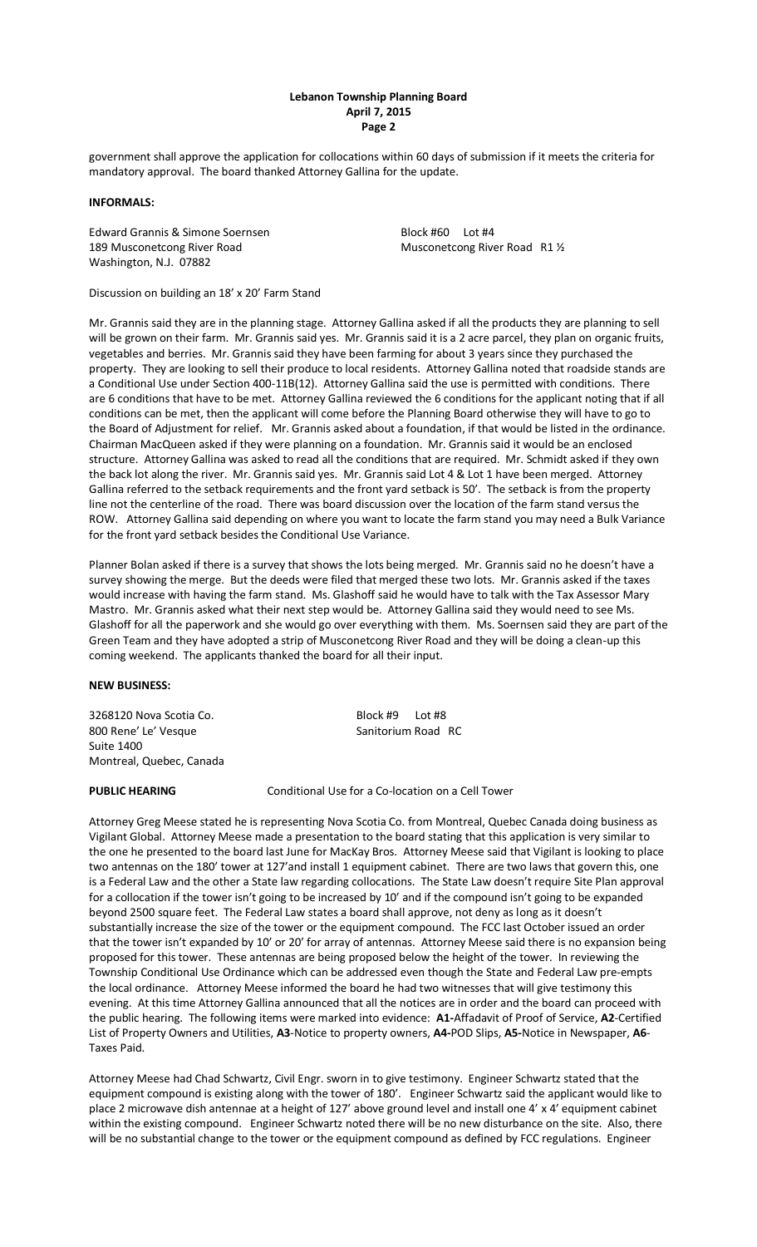## **Lebanon Township Planning Board April 7, 2015 Page 2**

government shall approve the application for collocations within 60 days of submission if it meets the criteria for mandatory approval. The board thanked Attorney Gallina for the update.

## **INFORMALS:**

Edward Grannis & Simone Soernsen Block #60 Lot #4 189 Musconetcong River Road Musconetcong River Road R1 1/2 Washington, N.J. 07882

Discussion on building an 18' x 20' Farm Stand

Mr. Grannis said they are in the planning stage. Attorney Gallina asked if all the products they are planning to sell will be grown on their farm. Mr. Grannis said yes. Mr. Grannis said it is a 2 acre parcel, they plan on organic fruits, vegetables and berries. Mr. Grannis said they have been farming for about 3 years since they purchased the property. They are looking to sell their produce to local residents. Attorney Gallina noted that roadside stands are a Conditional Use under Section 400-11B(12). Attorney Gallina said the use is permitted with conditions. There are 6 conditions that have to be met. Attorney Gallina reviewed the 6 conditions for the applicant noting that if all conditions can be met, then the applicant will come before the Planning Board otherwise they will have to go to the Board of Adjustment for relief. Mr. Grannis asked about a foundation, if that would be listed in the ordinance. Chairman MacQueen asked if they were planning on a foundation. Mr. Grannis said it would be an enclosed structure. Attorney Gallina was asked to read all the conditions that are required. Mr. Schmidt asked if they own the back lot along the river. Mr. Grannis said yes. Mr. Grannis said Lot 4 & Lot 1 have been merged. Attorney Gallina referred to the setback requirements and the front yard setback is 50'. The setback is from the property line not the centerline of the road. There was board discussion over the location of the farm stand versus the ROW. Attorney Gallina said depending on where you want to locate the farm stand you may need a Bulk Variance for the front yard setback besides the Conditional Use Variance.

Planner Bolan asked if there is a survey that shows the lots being merged. Mr. Grannis said no he doesn't have a survey showing the merge. But the deeds were filed that merged these two lots. Mr. Grannis asked if the taxes would increase with having the farm stand. Ms. Glashoff said he would have to talk with the Tax Assessor Mary Mastro. Mr. Grannis asked what their next step would be. Attorney Gallina said they would need to see Ms. Glashoff for all the paperwork and she would go over everything with them. Ms. Soernsen said they are part of the Green Team and they have adopted a strip of Musconetcong River Road and they will be doing a clean-up this coming weekend. The applicants thanked the board for all their input.

### **NEW BUSINESS:**

3268120 Nova Scotia Co. Block #9 Lot #8 800 Rene' Le' Vesque Sanitorium Road RC Suite 1400 Montreal, Quebec, Canada

**PUBLIC HEARING** Conditional Use for a Co-location on a Cell Tower

Attorney Greg Meese stated he is representing Nova Scotia Co. from Montreal, Quebec Canada doing business as Vigilant Global. Attorney Meese made a presentation to the board stating that this application is very similar to the one he presented to the board last June for MacKay Bros. Attorney Meese said that Vigilant is looking to place two antennas on the 180' tower at 127'and install 1 equipment cabinet. There are two laws that govern this, one is a Federal Law and the other a State law regarding collocations. The State Law doesn't require Site Plan approval for a collocation if the tower isn't going to be increased by 10' and if the compound isn't going to be expanded beyond 2500 square feet. The Federal Law states a board shall approve, not deny as long as it doesn't substantially increase the size of the tower or the equipment compound. The FCC last October issued an order that the tower isn't expanded by 10' or 20' for array of antennas. Attorney Meese said there is no expansion being proposed for this tower. These antennas are being proposed below the height of the tower. In reviewing the Township Conditional Use Ordinance which can be addressed even though the State and Federal Law pre-empts the local ordinance. Attorney Meese informed the board he had two witnesses that will give testimony this evening. At this time Attorney Gallina announced that all the notices are in order and the board can proceed with the public hearing. The following items were marked into evidence: **A1-**Affadavit of Proof of Service, **A2**-Certified List of Property Owners and Utilities, **A3**-Notice to property owners, **A4-**POD Slips, **A5-**Notice in Newspaper, **A6**- Taxes Paid.

Attorney Meese had Chad Schwartz, Civil Engr. sworn in to give testimony. Engineer Schwartz stated that the equipment compound is existing along with the tower of 180'. Engineer Schwartz said the applicant would like to place 2 microwave dish antennae at a height of 127' above ground level and install one 4' x 4' equipment cabinet within the existing compound. Engineer Schwartz noted there will be no new disturbance on the site. Also, there will be no substantial change to the tower or the equipment compound as defined by FCC regulations. Engineer